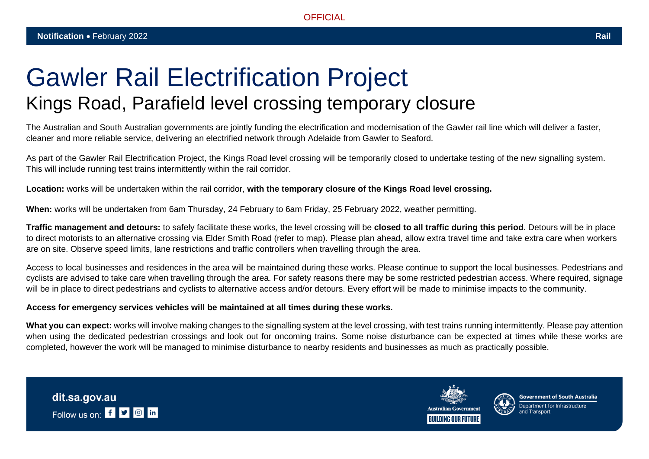## Gawler Rail Electrification Project Kings Road, Parafield level crossing temporary closure

The Australian and South Australian governments are jointly funding the electrification and modernisation of the Gawler rail line which will deliver a faster, cleaner and more reliable service, delivering an electrified network through Adelaide from Gawler to Seaford.

As part of the Gawler Rail Electrification Project, the Kings Road level crossing will be temporarily closed to undertake testing of the new signalling system. This will include running test trains intermittently within the rail corridor.

**Location:** works will be undertaken within the rail corridor, **with the temporary closure of the Kings Road level crossing.**

**When:** works will be undertaken from 6am Thursday, 24 February to 6am Friday, 25 February 2022, weather permitting.

**Traffic management and detours:** to safely facilitate these works, the level crossing will be **closed to all traffic during this period**. Detours will be in place to direct motorists to an alternative crossing via Elder Smith Road (refer to map). Please plan ahead, allow extra travel time and take extra care when workers are on site. Observe speed limits, lane restrictions and traffic controllers when travelling through the area.

Access to local businesses and residences in the area will be maintained during these works. Please continue to support the local businesses. Pedestrians and cyclists are advised to take care when travelling through the area. For safety reasons there may be some restricted pedestrian access. Where required, signage will be in place to direct pedestrians and cyclists to alternative access and/or detours. Every effort will be made to minimise impacts to the community.

## **Access for emergency services vehicles will be maintained at all times during these works.**

What you can expect: works will involve making changes to the signalling system at the level crossing, with test trains running intermittently. Please pay attention when using the dedicated pedestrian crossings and look out for oncoming trains. Some noise disturbance can be expected at times while these works are completed, however the work will be managed to minimise disturbance to nearby residents and businesses as much as practically possible.





**Government of South Australia**